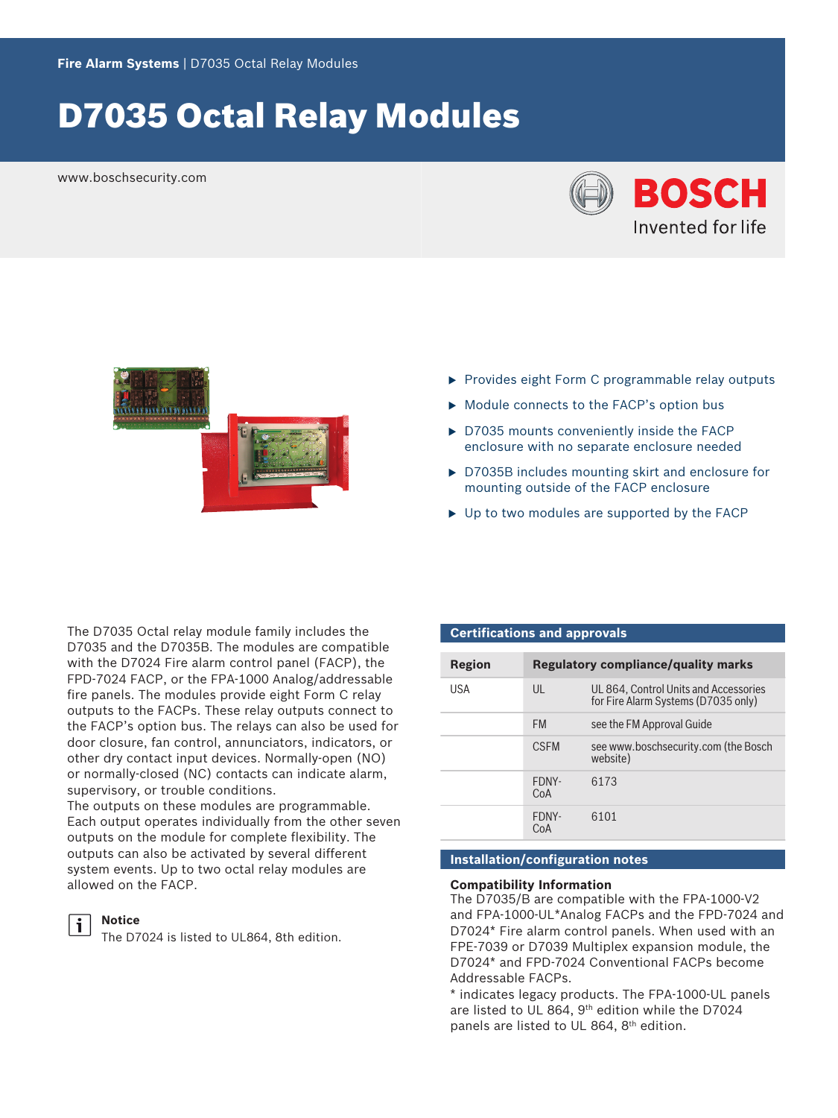# D7035 Octal Relay Modules

www.boschsecurity.com





- $\triangleright$  Provides eight Form C programmable relay outputs
- $\triangleright$  Module connects to the FACP's option bus
- $\triangleright$  D7035 mounts conveniently inside the FACP enclosure with no separate enclosure needed
- $\triangleright$  D7035B includes mounting skirt and enclosure for mounting outside of the FACP enclosure
- $\triangleright$  Up to two modules are supported by the FACP

The D7035 Octal relay module family includes the D7035 and the D7035B. The modules are compatible with the D7024 Fire alarm control panel (FACP), the FPD-7024 FACP, or the FPA‑1000 Analog/addressable fire panels. The modules provide eight Form C relay outputs to the FACPs. These relay outputs connect to the FACP's option bus. The relays can also be used for door closure, fan control, annunciators, indicators, or other dry contact input devices. Normally-open (NO) or normally-closed (NC) contacts can indicate alarm, supervisory, or trouble conditions.

The outputs on these modules are programmable. Each output operates individually from the other seven outputs on the module for complete flexibility. The outputs can also be activated by several different system events. Up to two octal relay modules are allowed on the FACP.

## **Notice**

The D7024 is listed to UL864, 8th edition.

### **Certifications and approvals**

| Region     | Regulatory compliance/quality marks |                                                                              |
|------------|-------------------------------------|------------------------------------------------------------------------------|
| <b>USA</b> | UL                                  | UL 864, Control Units and Accessories<br>for Fire Alarm Systems (D7035 only) |
|            | <b>FM</b>                           | see the FM Approval Guide                                                    |
|            | <b>CSEM</b>                         | see www.boschsecurity.com (the Bosch<br>website)                             |
|            | FDNY-<br>CoA                        | 6173                                                                         |
|            | FDNY-<br>CoA                        | 6101                                                                         |

## **Installation/configuration notes**

### **Compatibility Information**

The D7035/B are compatible with the FPA-1000-V2 and FPA-1000-UL\*Analog FACPs and the FPD-7024 and D7024\* Fire alarm control panels. When used with an FPE-7039 or D7039 Multiplex expansion module, the D7024\* and FPD-7024 Conventional FACPs become Addressable FACPs.

\* indicates legacy products. The FPA-1000-UL panels are listed to UL 864, 9th edition while the D7024 panels are listed to UL 864, 8th edition.